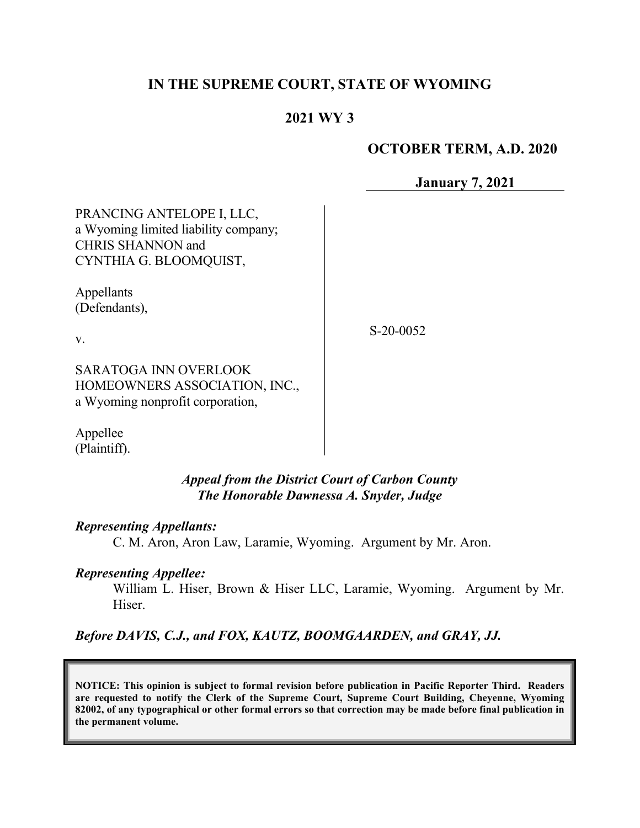## **IN THE SUPREME COURT, STATE OF WYOMING**

## **2021 WY 3**

### **OCTOBER TERM, A.D. 2020**

**January 7, 2021**

PRANCING ANTELOPE I, LLC, a Wyoming limited liability company; CHRIS SHANNON and CYNTHIA G. BLOOMQUIST,

Appellants (Defendants),

S-20-0052

v.

SARATOGA INN OVERLOOK HOMEOWNERS ASSOCIATION, INC., a Wyoming nonprofit corporation,

Appellee (Plaintiff).

> *Appeal from the District Court of Carbon County The Honorable Dawnessa A. Snyder, Judge*

#### *Representing Appellants:*

C. M. Aron, Aron Law, Laramie, Wyoming. Argument by Mr. Aron.

#### *Representing Appellee:*

William L. Hiser, Brown & Hiser LLC, Laramie, Wyoming. Argument by Mr. Hiser.

*Before DAVIS, C.J., and FOX, KAUTZ, BOOMGAARDEN, and GRAY, JJ.*

**NOTICE: This opinion is subject to formal revision before publication in Pacific Reporter Third. Readers are requested to notify the Clerk of the Supreme Court, Supreme Court Building, Cheyenne, Wyoming 82002, of any typographical or other formal errors so that correction may be made before final publication in the permanent volume.**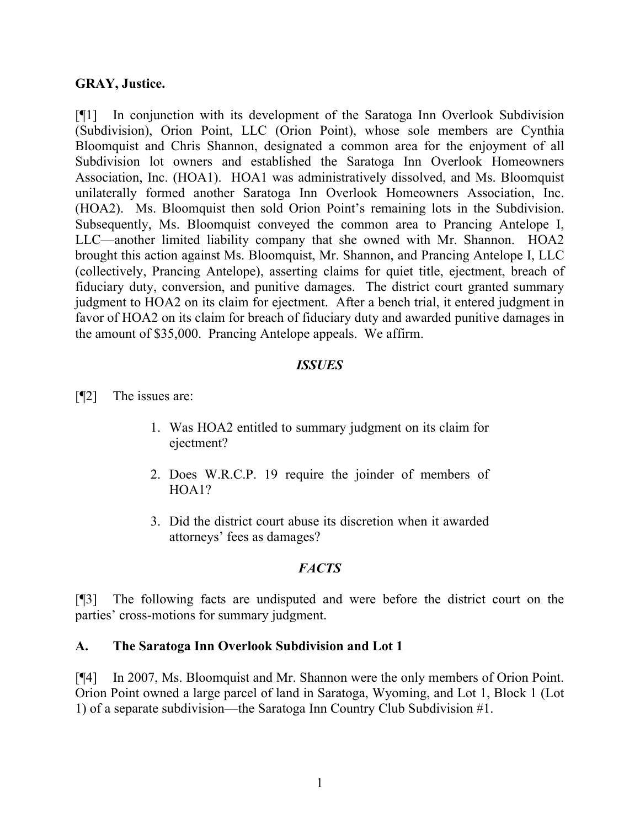### **GRAY, Justice.**

[¶1] In conjunction with its development of the Saratoga Inn Overlook Subdivision (Subdivision), Orion Point, LLC (Orion Point), whose sole members are Cynthia Bloomquist and Chris Shannon, designated a common area for the enjoyment of all Subdivision lot owners and established the Saratoga Inn Overlook Homeowners Association, Inc. (HOA1). HOA1 was administratively dissolved, and Ms. Bloomquist unilaterally formed another Saratoga Inn Overlook Homeowners Association, Inc. (HOA2). Ms. Bloomquist then sold Orion Point's remaining lots in the Subdivision. Subsequently, Ms. Bloomquist conveyed the common area to Prancing Antelope I, LLC—another limited liability company that she owned with Mr. Shannon. HOA2 brought this action against Ms. Bloomquist, Mr. Shannon, and Prancing Antelope I, LLC (collectively, Prancing Antelope), asserting claims for quiet title, ejectment, breach of fiduciary duty, conversion, and punitive damages. The district court granted summary judgment to HOA2 on its claim for ejectment. After a bench trial, it entered judgment in favor of HOA2 on its claim for breach of fiduciary duty and awarded punitive damages in the amount of \$35,000. Prancing Antelope appeals. We affirm.

### *ISSUES*

[¶2] The issues are:

- 1. Was HOA2 entitled to summary judgment on its claim for ejectment?
- 2. Does W.R.C.P. 19 require the joinder of members of HOA1?
- 3. Did the district court abuse its discretion when it awarded attorneys' fees as damages?

## *FACTS*

[¶3] The following facts are undisputed and were before the district court on the parties' cross-motions for summary judgment.

## **A. The Saratoga Inn Overlook Subdivision and Lot 1**

[¶4] In 2007, Ms. Bloomquist and Mr. Shannon were the only members of Orion Point. Orion Point owned a large parcel of land in Saratoga, Wyoming, and Lot 1, Block 1 (Lot 1) of a separate subdivision—the Saratoga Inn Country Club Subdivision #1.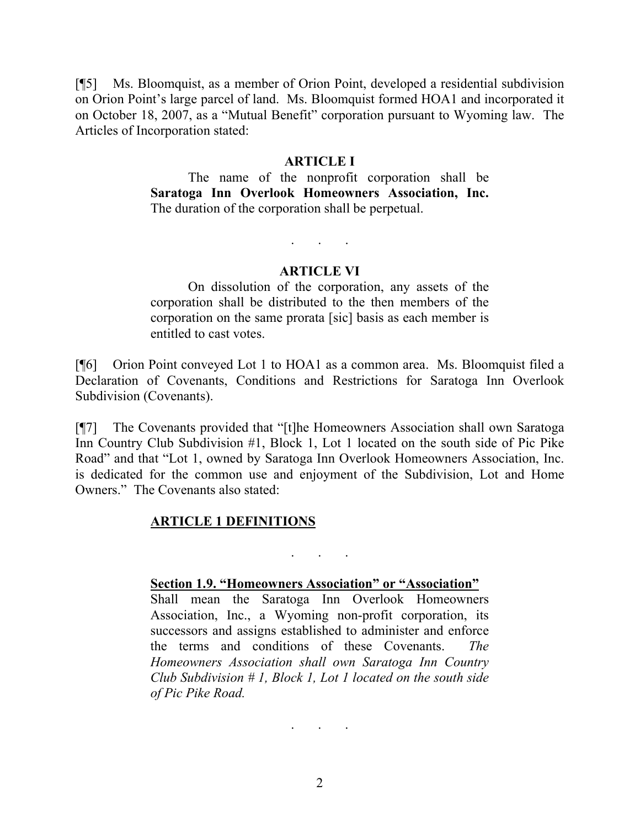[¶5] Ms. Bloomquist, as a member of Orion Point, developed a residential subdivision on Orion Point's large parcel of land. Ms. Bloomquist formed HOA1 and incorporated it on October 18, 2007, as a "Mutual Benefit" corporation pursuant to Wyoming law. The Articles of Incorporation stated:

#### **ARTICLE I**

The name of the nonprofit corporation shall be **Saratoga Inn Overlook Homeowners Association, Inc.** The duration of the corporation shall be perpetual.

#### **ARTICLE VI**

. . .

On dissolution of the corporation, any assets of the corporation shall be distributed to the then members of the corporation on the same prorata [sic] basis as each member is entitled to cast votes.

[¶6] Orion Point conveyed Lot 1 to HOA1 as a common area. Ms. Bloomquist filed a Declaration of Covenants, Conditions and Restrictions for Saratoga Inn Overlook Subdivision (Covenants).

[¶7] The Covenants provided that "[t]he Homeowners Association shall own Saratoga Inn Country Club Subdivision #1, Block 1, Lot 1 located on the south side of Pic Pike Road" and that "Lot 1, owned by Saratoga Inn Overlook Homeowners Association, Inc. is dedicated for the common use and enjoyment of the Subdivision, Lot and Home Owners." The Covenants also stated:

#### **ARTICLE 1 DEFINITIONS**

. . .

#### **Section 1.9. "Homeowners Association" or "Association"**

Shall mean the Saratoga Inn Overlook Homeowners Association, Inc., a Wyoming non-profit corporation, its successors and assigns established to administer and enforce the terms and conditions of these Covenants. *The Homeowners Association shall own Saratoga Inn Country Club Subdivision # 1, Block 1, Lot 1 located on the south side of Pic Pike Road.*

2

. . .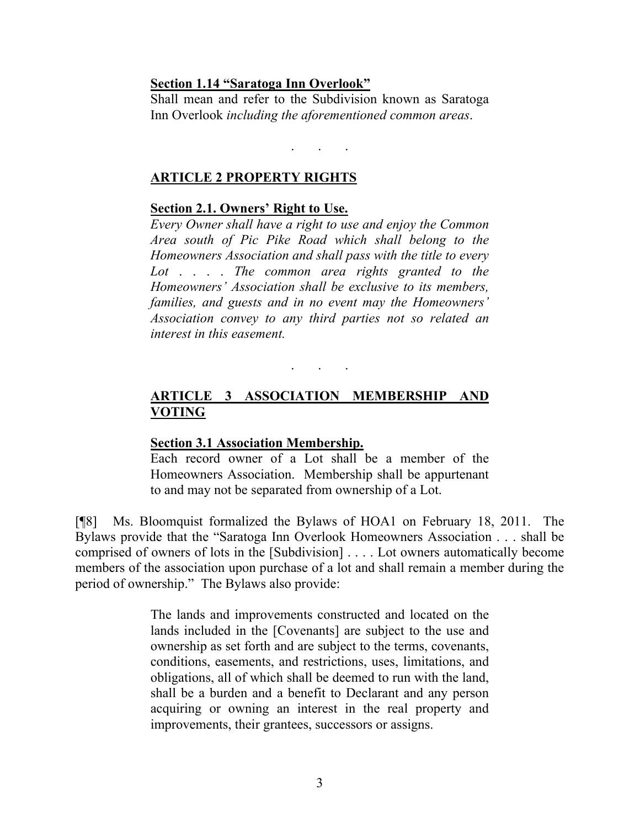#### **Section 1.14 "Saratoga Inn Overlook"**

Shall mean and refer to the Subdivision known as Saratoga Inn Overlook *including the aforementioned common areas*.

. . .

#### **ARTICLE 2 PROPERTY RIGHTS**

### **Section 2.1. Owners' Right to Use.**

*Every Owner shall have a right to use and enjoy the Common Area south of Pic Pike Road which shall belong to the Homeowners Association and shall pass with the title to every Lot* . . . . *The common area rights granted to the Homeowners' Association shall be exclusive to its members, families, and guests and in no event may the Homeowners' Association convey to any third parties not so related an interest in this easement.*

# **ARTICLE 3 ASSOCIATION MEMBERSHIP AND VOTING**

. . .

#### **Section 3.1 Association Membership.**

Each record owner of a Lot shall be a member of the Homeowners Association. Membership shall be appurtenant to and may not be separated from ownership of a Lot.

[¶8] Ms. Bloomquist formalized the Bylaws of HOA1 on February 18, 2011. The Bylaws provide that the "Saratoga Inn Overlook Homeowners Association . . . shall be comprised of owners of lots in the [Subdivision] . . . . Lot owners automatically become members of the association upon purchase of a lot and shall remain a member during the period of ownership." The Bylaws also provide:

> The lands and improvements constructed and located on the lands included in the [Covenants] are subject to the use and ownership as set forth and are subject to the terms, covenants, conditions, easements, and restrictions, uses, limitations, and obligations, all of which shall be deemed to run with the land, shall be a burden and a benefit to Declarant and any person acquiring or owning an interest in the real property and improvements, their grantees, successors or assigns.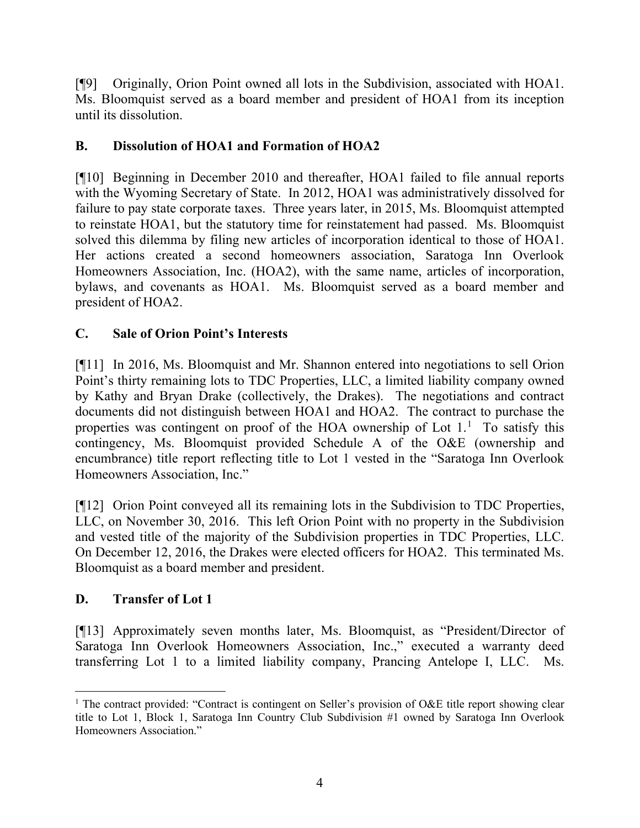[¶9] Originally, Orion Point owned all lots in the Subdivision, associated with HOA1. Ms. Bloomquist served as a board member and president of HOA1 from its inception until its dissolution.

## **B. Dissolution of HOA1 and Formation of HOA2**

[¶10] Beginning in December 2010 and thereafter, HOA1 failed to file annual reports with the Wyoming Secretary of State. In 2012, HOA1 was administratively dissolved for failure to pay state corporate taxes. Three years later, in 2015, Ms. Bloomquist attempted to reinstate HOA1, but the statutory time for reinstatement had passed. Ms. Bloomquist solved this dilemma by filing new articles of incorporation identical to those of HOA1. Her actions created a second homeowners association, Saratoga Inn Overlook Homeowners Association, Inc. (HOA2), with the same name, articles of incorporation, bylaws, and covenants as HOA1. Ms. Bloomquist served as a board member and president of HOA2.

# **C. Sale of Orion Point's Interests**

[¶11] In 2016, Ms. Bloomquist and Mr. Shannon entered into negotiations to sell Orion Point's thirty remaining lots to TDC Properties, LLC, a limited liability company owned by Kathy and Bryan Drake (collectively, the Drakes). The negotiations and contract documents did not distinguish between HOA1 and HOA2. The contract to purchase the properties was contingent on proof of the HOA ownership of Lot [1](#page-4-0).<sup>1</sup> To satisfy this contingency, Ms. Bloomquist provided Schedule A of the O&E (ownership and encumbrance) title report reflecting title to Lot 1 vested in the "Saratoga Inn Overlook Homeowners Association, Inc."

[¶12] Orion Point conveyed all its remaining lots in the Subdivision to TDC Properties, LLC, on November 30, 2016. This left Orion Point with no property in the Subdivision and vested title of the majority of the Subdivision properties in TDC Properties, LLC. On December 12, 2016, the Drakes were elected officers for HOA2. This terminated Ms. Bloomquist as a board member and president.

## **D. Transfer of Lot 1**

[¶13] Approximately seven months later, Ms. Bloomquist, as "President/Director of Saratoga Inn Overlook Homeowners Association, Inc.," executed a warranty deed transferring Lot 1 to a limited liability company, Prancing Antelope I, LLC. Ms.

<span id="page-4-0"></span><sup>&</sup>lt;sup>1</sup> The contract provided: "Contract is contingent on Seller's provision of O&E title report showing clear title to Lot 1, Block 1, Saratoga Inn Country Club Subdivision #1 owned by Saratoga Inn Overlook Homeowners Association."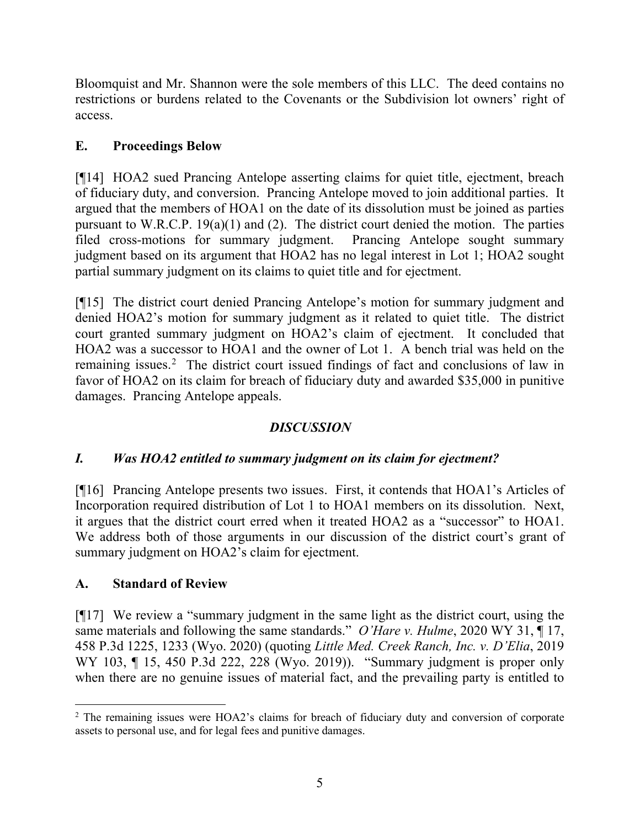Bloomquist and Mr. Shannon were the sole members of this LLC. The deed contains no restrictions or burdens related to the Covenants or the Subdivision lot owners' right of access.

# **E. Proceedings Below**

[¶14] HOA2 sued Prancing Antelope asserting claims for quiet title, ejectment, breach of fiduciary duty, and conversion. Prancing Antelope moved to join additional parties. It argued that the members of HOA1 on the date of its dissolution must be joined as parties pursuant to W.R.C.P. 19(a)(1) and (2). The district court denied the motion. The parties filed cross-motions for summary judgment. Prancing Antelope sought summary judgment based on its argument that HOA2 has no legal interest in Lot 1; HOA2 sought partial summary judgment on its claims to quiet title and for ejectment.

[¶15] The district court denied Prancing Antelope's motion for summary judgment and denied HOA2's motion for summary judgment as it related to quiet title. The district court granted summary judgment on HOA2's claim of ejectment. It concluded that HOA2 was a successor to HOA1 and the owner of Lot 1. A bench trial was held on the remaining issues. [2](#page-5-0) The district court issued findings of fact and conclusions of law in favor of HOA2 on its claim for breach of fiduciary duty and awarded \$35,000 in punitive damages. Prancing Antelope appeals.

# *DISCUSSION*

# *I. Was HOA2 entitled to summary judgment on its claim for ejectment?*

[¶16] Prancing Antelope presents two issues. First, it contends that HOA1's Articles of Incorporation required distribution of Lot 1 to HOA1 members on its dissolution. Next, it argues that the district court erred when it treated HOA2 as a "successor" to HOA1. We address both of those arguments in our discussion of the district court's grant of summary judgment on HOA2's claim for ejectment.

# **A. Standard of Review**

[¶17] We review a "summary judgment in the same light as the district court, using the same materials and following the same standards." *O'Hare v. Hulme*, 2020 WY 31, ¶ 17, 458 P.3d 1225, 1233 (Wyo. 2020) (quoting *Little Med. Creek Ranch, Inc. v. D'Elia*, 2019 WY 103, ¶ 15, 450 P.3d 222, 228 (Wyo. 2019)). "Summary judgment is proper only when there are no genuine issues of material fact, and the prevailing party is entitled to

<span id="page-5-0"></span><sup>&</sup>lt;sup>2</sup> The remaining issues were HOA2's claims for breach of fiduciary duty and conversion of corporate assets to personal use, and for legal fees and punitive damages.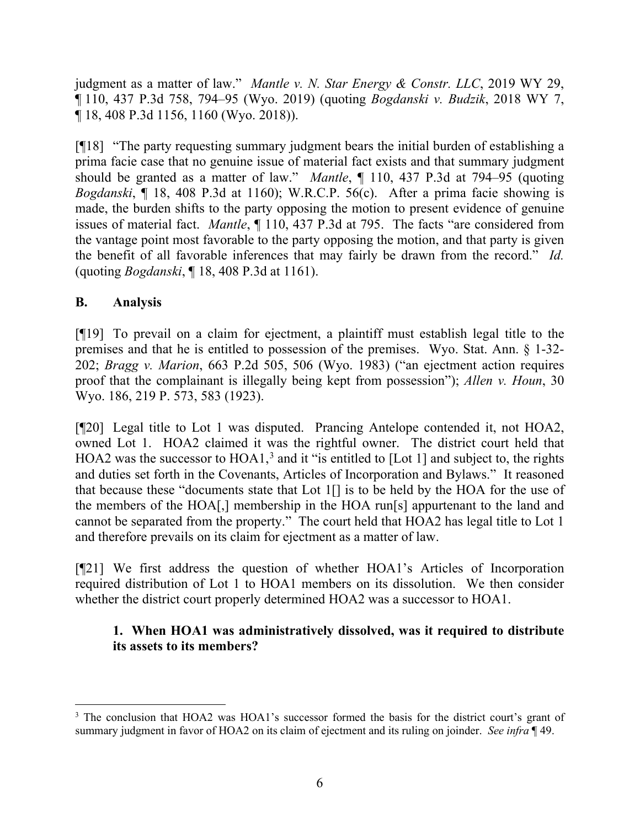judgment as a matter of law." *Mantle v. N. Star Energy & Constr. LLC*, 2019 WY 29, ¶ 110, 437 P.3d 758, 794–95 (Wyo. 2019) (quoting *Bogdanski v. Budzik*, 2018 WY 7, ¶ 18, 408 P.3d 1156, 1160 (Wyo. 2018)).

[¶18] "The party requesting summary judgment bears the initial burden of establishing a prima facie case that no genuine issue of material fact exists and that summary judgment should be granted as a matter of law." *Mantle*, ¶ 110, 437 P.3d at 794–95 (quoting *Bogdanski*, ¶ 18, 408 P.3d at 1160); W.R.C.P. 56(c). After a prima facie showing is made, the burden shifts to the party opposing the motion to present evidence of genuine issues of material fact. *Mantle*, ¶ 110, 437 P.3d at 795. The facts "are considered from the vantage point most favorable to the party opposing the motion, and that party is given the benefit of all favorable inferences that may fairly be drawn from the record." *Id.* (quoting *Bogdanski*, ¶ 18, 408 P.3d at 1161).

## **B. Analysis**

[¶19] To prevail on a claim for ejectment, a plaintiff must establish legal title to the premises and that he is entitled to possession of the premises. Wyo. Stat. Ann. § 1-32- 202; *Bragg v. Marion*, 663 P.2d 505, 506 (Wyo. 1983) ("an ejectment action requires proof that the complainant is illegally being kept from possession"); *Allen v. Houn*, 30 Wyo. 186, 219 P. 573, 583 (1923).

[¶20] Legal title to Lot 1 was disputed. Prancing Antelope contended it, not HOA2, owned Lot 1. HOA2 claimed it was the rightful owner. The district court held that HOA2 was the successor to  $HOA1$ ,<sup>[3](#page-6-0)</sup> and it "is entitled to [Lot 1] and subject to, the rights and duties set forth in the Covenants, Articles of Incorporation and Bylaws." It reasoned that because these "documents state that Lot 1[] is to be held by the HOA for the use of the members of the HOA[,] membership in the HOA run[s] appurtenant to the land and cannot be separated from the property." The court held that HOA2 has legal title to Lot 1 and therefore prevails on its claim for ejectment as a matter of law.

[¶21] We first address the question of whether HOA1's Articles of Incorporation required distribution of Lot 1 to HOA1 members on its dissolution. We then consider whether the district court properly determined HOA2 was a successor to HOA1.

# **1. When HOA1 was administratively dissolved, was it required to distribute its assets to its members?**

<span id="page-6-0"></span><sup>&</sup>lt;sup>3</sup> The conclusion that HOA2 was HOA1's successor formed the basis for the district court's grant of summary judgment in favor of HOA2 on its claim of ejectment and its ruling on joinder. *See infra* ¶ 49.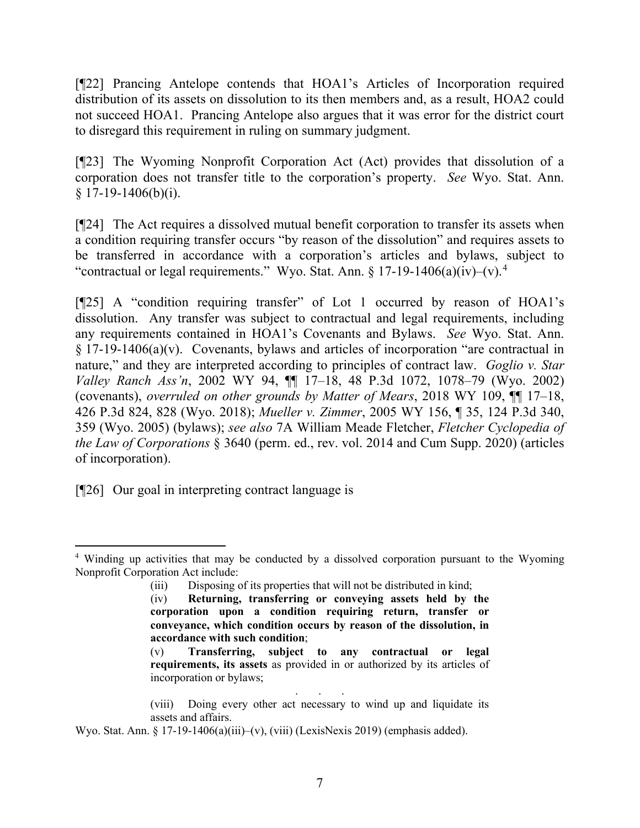[¶22] Prancing Antelope contends that HOA1's Articles of Incorporation required distribution of its assets on dissolution to its then members and, as a result, HOA2 could not succeed HOA1. Prancing Antelope also argues that it was error for the district court to disregard this requirement in ruling on summary judgment.

[¶23] The Wyoming Nonprofit Corporation Act (Act) provides that dissolution of a corporation does not transfer title to the corporation's property. *See* Wyo. Stat. Ann.  $$17-19-1406(b)(i).$ 

[¶24] The Act requires a dissolved mutual benefit corporation to transfer its assets when a condition requiring transfer occurs "by reason of the dissolution" and requires assets to be transferred in accordance with a corporation's articles and bylaws, subject to "contractual or legal requirements." Wyo. Stat. Ann. § 17-19-1[4](#page-7-0)06(a)(iv)–(v).<sup>4</sup>

[¶25] A "condition requiring transfer" of Lot 1 occurred by reason of HOA1's dissolution. Any transfer was subject to contractual and legal requirements, including any requirements contained in HOA1's Covenants and Bylaws. *See* Wyo. Stat. Ann. § 17-19-1406(a)(v). Covenants, bylaws and articles of incorporation "are contractual in nature," and they are interpreted according to principles of contract law. *Goglio v. Star Valley Ranch Ass'n*, 2002 WY 94, ¶¶ 17–18, 48 P.3d 1072, 1078–79 (Wyo. 2002) (covenants), *overruled on other grounds by Matter of Mears*, 2018 WY 109, ¶¶ 17–18, 426 P.3d 824, 828 (Wyo. 2018); *Mueller v. Zimmer*, 2005 WY 156, ¶ 35, 124 P.3d 340, 359 (Wyo. 2005) (bylaws); *see also* 7A William Meade Fletcher, *Fletcher Cyclopedia of the Law of Corporations* § 3640 (perm. ed., rev. vol. 2014 and Cum Supp. 2020) (articles of incorporation).

[¶26] Our goal in interpreting contract language is

<span id="page-7-0"></span><sup>&</sup>lt;sup>4</sup> Winding up activities that may be conducted by a dissolved corporation pursuant to the Wyoming Nonprofit Corporation Act include:

<sup>(</sup>iii) Disposing of its properties that will not be distributed in kind;

<sup>(</sup>iv) **Returning, transferring or conveying assets held by the corporation upon a condition requiring return, transfer or conveyance, which condition occurs by reason of the dissolution, in accordance with such condition**;

<sup>(</sup>v) **Transferring, subject to any contractual or legal requirements, its assets** as provided in or authorized by its articles of incorporation or bylaws;

<sup>. . .</sup> (viii) Doing every other act necessary to wind up and liquidate its assets and affairs.

Wyo. Stat. Ann. § 17-19-1406(a)(iii)–(v), (viii) (LexisNexis 2019) (emphasis added).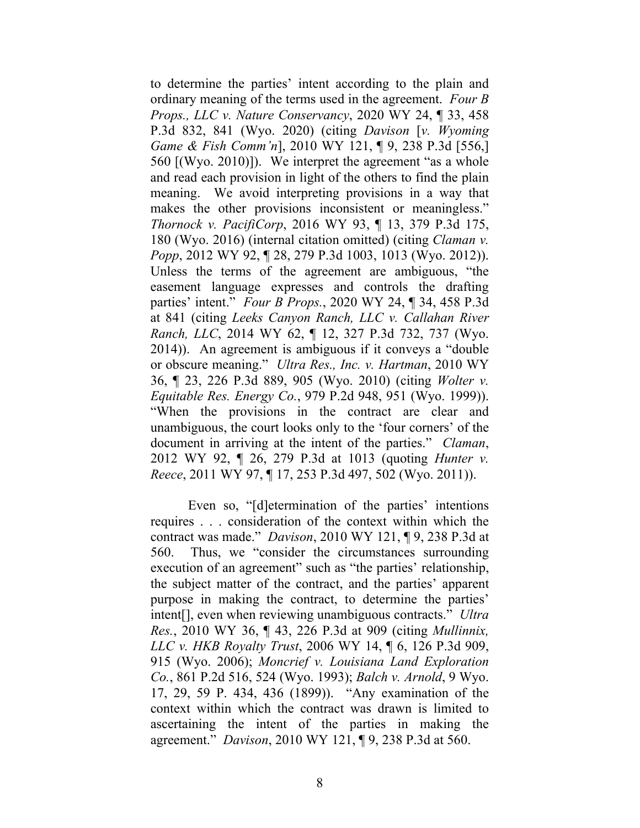to determine the parties' intent according to the plain and ordinary meaning of the terms used in the agreement. *Four B Props., LLC v. Nature Conservancy*, 2020 WY 24, ¶ 33, 458 P.3d 832, 841 (Wyo. 2020) (citing *Davison* [*v. Wyoming Game & Fish Comm'n*], 2010 WY 121, ¶ 9, 238 P.3d [556,] 560 [(Wyo. 2010)]). We interpret the agreement "as a whole and read each provision in light of the others to find the plain meaning. We avoid interpreting provisions in a way that makes the other provisions inconsistent or meaningless." *Thornock v. PacifiCorp*, 2016 WY 93, ¶ 13, 379 P.3d 175, 180 (Wyo. 2016) (internal citation omitted) (citing *Claman v. Popp*, 2012 WY 92, ¶ 28, 279 P.3d 1003, 1013 (Wyo. 2012)). Unless the terms of the agreement are ambiguous, "the easement language expresses and controls the drafting parties' intent." *Four B Props.*, 2020 WY 24, ¶ 34, 458 P.3d at 841 (citing *Leeks Canyon Ranch, LLC v. Callahan River Ranch, LLC*, 2014 WY 62, ¶ 12, 327 P.3d 732, 737 (Wyo. 2014)). An agreement is ambiguous if it conveys a "double or obscure meaning." *Ultra Res., Inc. v. Hartman*, 2010 WY 36, ¶ 23, 226 P.3d 889, 905 (Wyo. 2010) (citing *Wolter v. Equitable Res. Energy Co.*, 979 P.2d 948, 951 (Wyo. 1999)). "When the provisions in the contract are clear and unambiguous, the court looks only to the 'four corners' of the document in arriving at the intent of the parties." *Claman*, 2012 WY 92, ¶ 26, 279 P.3d at 1013 (quoting *Hunter v. Reece*, 2011 WY 97, ¶ 17, 253 P.3d 497, 502 (Wyo. 2011)).

Even so, "[d]etermination of the parties' intentions requires . . . consideration of the context within which the contract was made." *Davison*, 2010 WY 121, ¶ 9, 238 P.3d at 560. Thus, we "consider the circumstances surrounding execution of an agreement" such as "the parties' relationship, the subject matter of the contract, and the parties' apparent purpose in making the contract, to determine the parties' intent[], even when reviewing unambiguous contracts." *Ultra Res.*, 2010 WY 36, ¶ 43, 226 P.3d at 909 (citing *Mullinnix, LLC v. HKB Royalty Trust*, 2006 WY 14, ¶ 6, 126 P.3d 909, 915 (Wyo. 2006); *Moncrief v. Louisiana Land Exploration Co.*, 861 P.2d 516, 524 (Wyo. 1993); *Balch v. Arnold*, 9 Wyo. 17, 29, 59 P. 434, 436 (1899)). "Any examination of the context within which the contract was drawn is limited to ascertaining the intent of the parties in making the agreement." *Davison*, 2010 WY 121, ¶ 9, 238 P.3d at 560.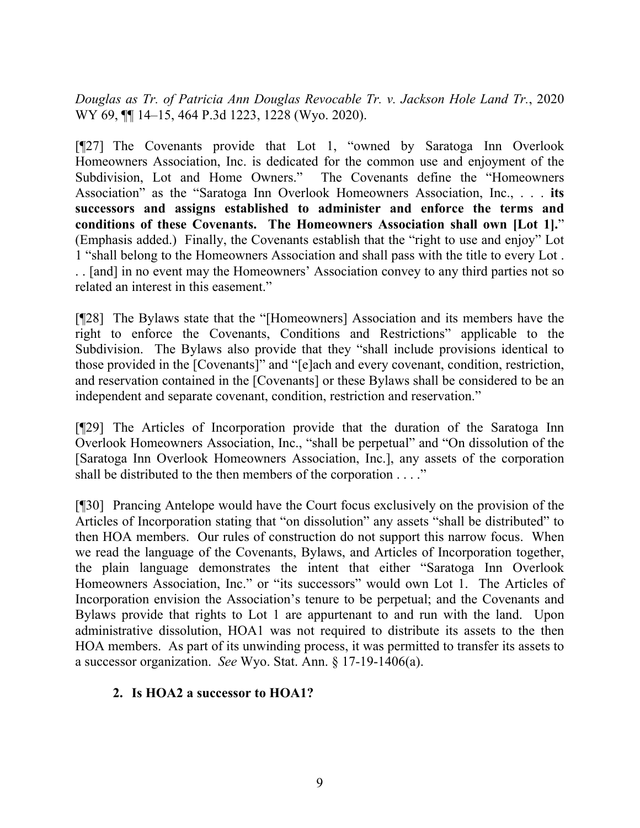*Douglas as Tr. of Patricia Ann Douglas Revocable Tr. v. Jackson Hole Land Tr.*, 2020 WY 69, ¶¶ 14–15, 464 P.3d 1223, 1228 (Wyo. 2020).

[¶27] The Covenants provide that Lot 1, "owned by Saratoga Inn Overlook Homeowners Association, Inc. is dedicated for the common use and enjoyment of the Subdivision, Lot and Home Owners." The Covenants define the "Homeowners Association" as the "Saratoga Inn Overlook Homeowners Association, Inc., . . . **its successors and assigns established to administer and enforce the terms and conditions of these Covenants. The Homeowners Association shall own [Lot 1].**" (Emphasis added.) Finally, the Covenants establish that the "right to use and enjoy" Lot 1 "shall belong to the Homeowners Association and shall pass with the title to every Lot . . . [and] in no event may the Homeowners' Association convey to any third parties not so related an interest in this easement."

[¶28] The Bylaws state that the "[Homeowners] Association and its members have the right to enforce the Covenants, Conditions and Restrictions" applicable to the Subdivision. The Bylaws also provide that they "shall include provisions identical to those provided in the [Covenants]" and "[e]ach and every covenant, condition, restriction, and reservation contained in the [Covenants] or these Bylaws shall be considered to be an independent and separate covenant, condition, restriction and reservation."

[¶29] The Articles of Incorporation provide that the duration of the Saratoga Inn Overlook Homeowners Association, Inc., "shall be perpetual" and "On dissolution of the [Saratoga Inn Overlook Homeowners Association, Inc.], any assets of the corporation shall be distributed to the then members of the corporation . . . ."

[¶30] Prancing Antelope would have the Court focus exclusively on the provision of the Articles of Incorporation stating that "on dissolution" any assets "shall be distributed" to then HOA members. Our rules of construction do not support this narrow focus. When we read the language of the Covenants, Bylaws, and Articles of Incorporation together, the plain language demonstrates the intent that either "Saratoga Inn Overlook Homeowners Association, Inc." or "its successors" would own Lot 1. The Articles of Incorporation envision the Association's tenure to be perpetual; and the Covenants and Bylaws provide that rights to Lot 1 are appurtenant to and run with the land. Upon administrative dissolution, HOA1 was not required to distribute its assets to the then HOA members. As part of its unwinding process, it was permitted to transfer its assets to a successor organization. *See* Wyo. Stat. Ann. § 17-19-1406(a).

#### **2. Is HOA2 a successor to HOA1?**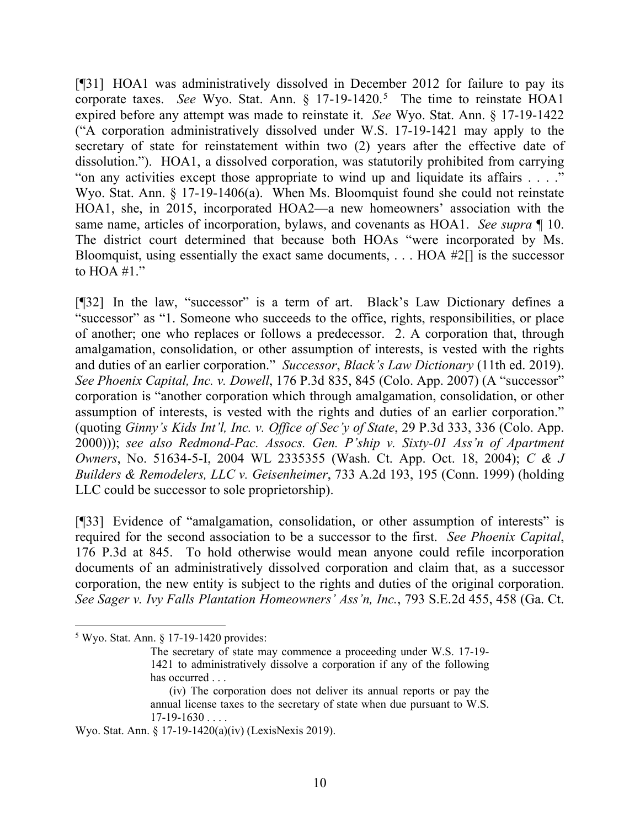[¶31] HOA1 was administratively dissolved in December 2012 for failure to pay its corporate taxes. *See* Wyo. Stat. Ann. § 17-19-1420.<sup>[5](#page-10-0)</sup> The time to reinstate HOA1 expired before any attempt was made to reinstate it. *See* Wyo. Stat. Ann. § 17-19-1422 ("A corporation administratively dissolved under W.S. 17-19-1421 may apply to the secretary of state for reinstatement within two (2) years after the effective date of dissolution."). HOA1, a dissolved corporation, was statutorily prohibited from carrying "on any activities except those appropriate to wind up and liquidate its affairs . . . ." Wyo. Stat. Ann. § 17-19-1406(a). When Ms. Bloomquist found she could not reinstate HOA1, she, in 2015, incorporated HOA2—a new homeowners' association with the same name, articles of incorporation, bylaws, and covenants as HOA1. *See supra* ¶ 10. The district court determined that because both HOAs "were incorporated by Ms. Bloomquist, using essentially the exact same documents, . . . HOA #2[] is the successor to  $HOA #1."$ 

[¶32] In the law, "successor" is a term of art. Black's Law Dictionary defines a "successor" as "1. Someone who succeeds to the office, rights, responsibilities, or place of another; one who replaces or follows a predecessor. 2. A corporation that, through amalgamation, consolidation, or other assumption of interests, is vested with the rights and duties of an earlier corporation." *Successor*, *Black's Law Dictionary* (11th ed. 2019). *See Phoenix Capital, Inc. v. Dowell*, 176 P.3d 835, 845 (Colo. App. 2007) (A "successor" corporation is "another corporation which through amalgamation, consolidation, or other assumption of interests, is vested with the rights and duties of an earlier corporation." (quoting *Ginny's Kids Int'l, Inc. v. Office of Sec'y of State*, 29 P.3d 333, 336 (Colo. App. 2000))); *see also Redmond-Pac. Assocs. Gen. P'ship v. Sixty-01 Ass'n of Apartment Owners*, No. 51634-5-I, 2004 WL 2335355 (Wash. Ct. App. Oct. 18, 2004); *C & J Builders & Remodelers, LLC v. Geisenheimer*, 733 A.2d 193, 195 (Conn. 1999) (holding LLC could be successor to sole proprietorship).

[¶33] Evidence of "amalgamation, consolidation, or other assumption of interests" is required for the second association to be a successor to the first. *See Phoenix Capital*, 176 P.3d at 845. To hold otherwise would mean anyone could refile incorporation documents of an administratively dissolved corporation and claim that, as a successor corporation, the new entity is subject to the rights and duties of the original corporation. *See Sager v. Ivy Falls Plantation Homeowners' Ass'n, Inc.*, 793 S.E.2d 455, 458 (Ga. Ct.

<span id="page-10-0"></span><sup>5</sup> Wyo. Stat. Ann. § 17-19-1420 provides:

The secretary of state may commence a proceeding under W.S. 17-19- 1421 to administratively dissolve a corporation if any of the following has occurred . . .

<sup>(</sup>iv) The corporation does not deliver its annual reports or pay the annual license taxes to the secretary of state when due pursuant to W.S.  $17-19-1630...$ 

Wyo. Stat. Ann. § 17-19-1420(a)(iv) (LexisNexis 2019).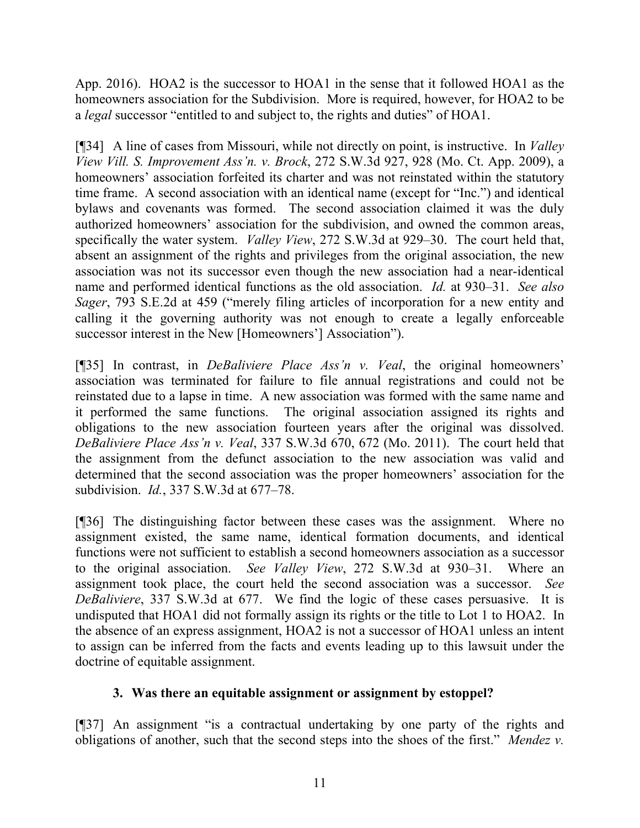App. 2016). HOA2 is the successor to HOA1 in the sense that it followed HOA1 as the homeowners association for the Subdivision. More is required, however, for HOA2 to be a *legal* successor "entitled to and subject to, the rights and duties" of HOA1.

[¶34] A line of cases from Missouri, while not directly on point, is instructive. In *Valley View Vill. S. Improvement Ass'n. v. Brock*, 272 S.W.3d 927, 928 (Mo. Ct. App. 2009), a homeowners' association forfeited its charter and was not reinstated within the statutory time frame. A second association with an identical name (except for "Inc.") and identical bylaws and covenants was formed. The second association claimed it was the duly authorized homeowners' association for the subdivision, and owned the common areas, specifically the water system. *Valley View*, 272 S.W.3d at 929–30. The court held that, absent an assignment of the rights and privileges from the original association, the new association was not its successor even though the new association had a near-identical name and performed identical functions as the old association. *Id.* at 930–31. *See also Sager*, 793 S.E.2d at 459 ("merely filing articles of incorporation for a new entity and calling it the governing authority was not enough to create a legally enforceable successor interest in the New [Homeowners'] Association").

[¶35] In contrast, in *DeBaliviere Place Ass'n v. Veal*, the original homeowners' association was terminated for failure to file annual registrations and could not be reinstated due to a lapse in time. A new association was formed with the same name and it performed the same functions. The original association assigned its rights and obligations to the new association fourteen years after the original was dissolved. *DeBaliviere Place Ass'n v. Veal*, 337 S.W.3d 670, 672 (Mo. 2011). The court held that the assignment from the defunct association to the new association was valid and determined that the second association was the proper homeowners' association for the subdivision. *Id.*, 337 S.W.3d at 677–78.

[¶36] The distinguishing factor between these cases was the assignment. Where no assignment existed, the same name, identical formation documents, and identical functions were not sufficient to establish a second homeowners association as a successor to the original association. *See Valley View*, 272 S.W.3d at 930–31. Where an assignment took place, the court held the second association was a successor. *See DeBaliviere*, 337 S.W.3d at 677. We find the logic of these cases persuasive. It is undisputed that HOA1 did not formally assign its rights or the title to Lot 1 to HOA2. In the absence of an express assignment, HOA2 is not a successor of HOA1 unless an intent to assign can be inferred from the facts and events leading up to this lawsuit under the doctrine of equitable assignment.

## **3. Was there an equitable assignment or assignment by estoppel?**

[¶37] An assignment "is a contractual undertaking by one party of the rights and obligations of another, such that the second steps into the shoes of the first." *Mendez v.*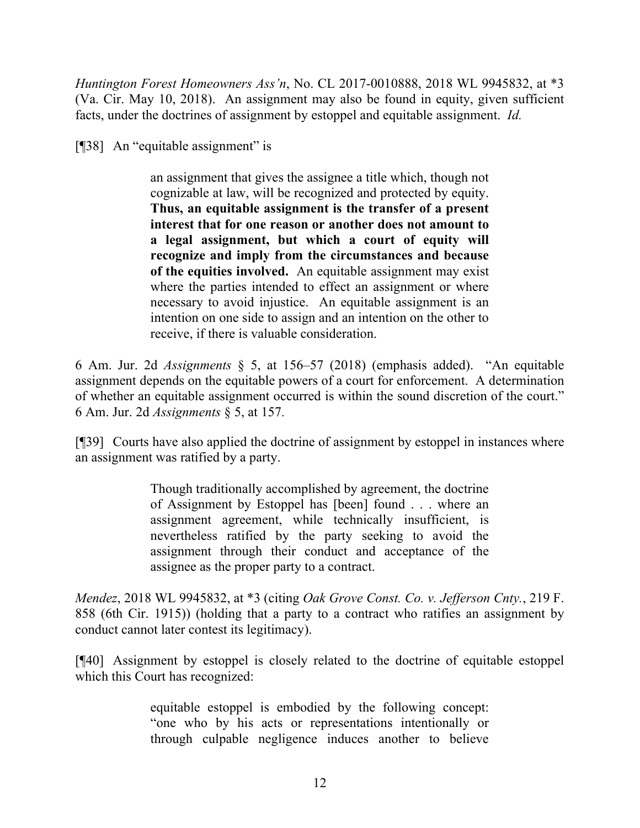*Huntington Forest Homeowners Ass'n*, No. CL 2017-0010888, 2018 WL 9945832, at \*3 (Va. Cir. May 10, 2018). An assignment may also be found in equity, given sufficient facts, under the doctrines of assignment by estoppel and equitable assignment. *Id.*

[¶38] An "equitable assignment" is

an assignment that gives the assignee a title which, though not cognizable at law, will be recognized and protected by equity. **Thus, an equitable assignment is the transfer of a present interest that for one reason or another does not amount to a legal assignment, but which a court of equity will recognize and imply from the circumstances and because of the equities involved.** An equitable assignment may exist where the parties intended to effect an assignment or where necessary to avoid injustice. An equitable assignment is an intention on one side to assign and an intention on the other to receive, if there is valuable consideration.

6 Am. Jur. 2d *Assignments* § 5, at 156–57 (2018) (emphasis added). "An equitable assignment depends on the equitable powers of a court for enforcement. A determination of whether an equitable assignment occurred is within the sound discretion of the court." 6 Am. Jur. 2d *Assignments* § 5, at 157.

[¶39] Courts have also applied the doctrine of assignment by estoppel in instances where an assignment was ratified by a party.

> Though traditionally accomplished by agreement, the doctrine of Assignment by Estoppel has [been] found . . . where an assignment agreement, while technically insufficient, is nevertheless ratified by the party seeking to avoid the assignment through their conduct and acceptance of the assignee as the proper party to a contract.

*Mendez*, 2018 WL 9945832, at \*3 (citing *Oak Grove Const. Co. v. Jefferson Cnty.*, 219 F. 858 (6th Cir. 1915)) (holding that a party to a contract who ratifies an assignment by conduct cannot later contest its legitimacy).

[¶40] Assignment by estoppel is closely related to the doctrine of equitable estoppel which this Court has recognized:

> equitable estoppel is embodied by the following concept: "one who by his acts or representations intentionally or through culpable negligence induces another to believe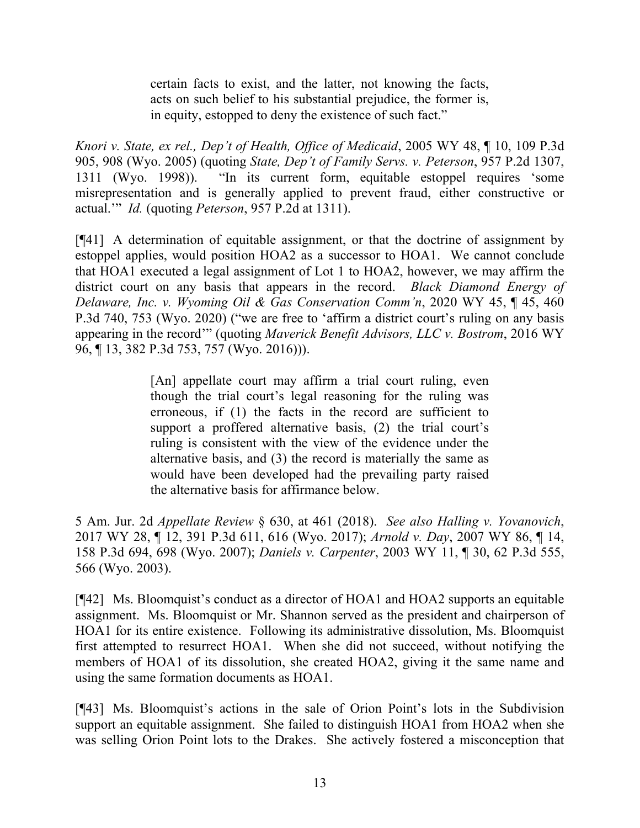certain facts to exist, and the latter, not knowing the facts, acts on such belief to his substantial prejudice, the former is, in equity, estopped to deny the existence of such fact."

*Knori v. State, ex rel., Dep't of Health, Office of Medicaid*, 2005 WY 48, ¶ 10, 109 P.3d 905, 908 (Wyo. 2005) (quoting *State, Dep't of Family Servs. v. Peterson*, 957 P.2d 1307, 1311 (Wyo. 1998)). "In its current form, equitable estoppel requires 'some misrepresentation and is generally applied to prevent fraud, either constructive or actual.'" *Id.* (quoting *Peterson*, 957 P.2d at 1311).

[¶41] A determination of equitable assignment, or that the doctrine of assignment by estoppel applies, would position HOA2 as a successor to HOA1. We cannot conclude that HOA1 executed a legal assignment of Lot 1 to HOA2, however, we may affirm the district court on any basis that appears in the record. *Black Diamond Energy of Delaware, Inc. v. Wyoming Oil & Gas Conservation Comm'n*, 2020 WY 45, ¶ 45, 460 P.3d 740, 753 (Wyo. 2020) ("we are free to 'affirm a district court's ruling on any basis appearing in the record'" (quoting *Maverick Benefit Advisors, LLC v. Bostrom*, 2016 WY 96, ¶ 13, 382 P.3d 753, 757 (Wyo. 2016))).

> [An] appellate court may affirm a trial court ruling, even though the trial court's legal reasoning for the ruling was erroneous, if (1) the facts in the record are sufficient to support a proffered alternative basis, (2) the trial court's ruling is consistent with the view of the evidence under the alternative basis, and (3) the record is materially the same as would have been developed had the prevailing party raised the alternative basis for affirmance below.

5 Am. Jur. 2d *Appellate Review* § 630, at 461 (2018). *See also Halling v. Yovanovich*, 2017 WY 28, ¶ 12, 391 P.3d 611, 616 (Wyo. 2017); *Arnold v. Day*, 2007 WY 86, ¶ 14, 158 P.3d 694, 698 (Wyo. 2007); *Daniels v. Carpenter*, 2003 WY 11, ¶ 30, 62 P.3d 555, 566 (Wyo. 2003).

[¶42] Ms. Bloomquist's conduct as a director of HOA1 and HOA2 supports an equitable assignment. Ms. Bloomquist or Mr. Shannon served as the president and chairperson of HOA1 for its entire existence. Following its administrative dissolution, Ms. Bloomquist first attempted to resurrect HOA1. When she did not succeed, without notifying the members of HOA1 of its dissolution, she created HOA2, giving it the same name and using the same formation documents as HOA1.

[¶43] Ms. Bloomquist's actions in the sale of Orion Point's lots in the Subdivision support an equitable assignment. She failed to distinguish HOA1 from HOA2 when she was selling Orion Point lots to the Drakes. She actively fostered a misconception that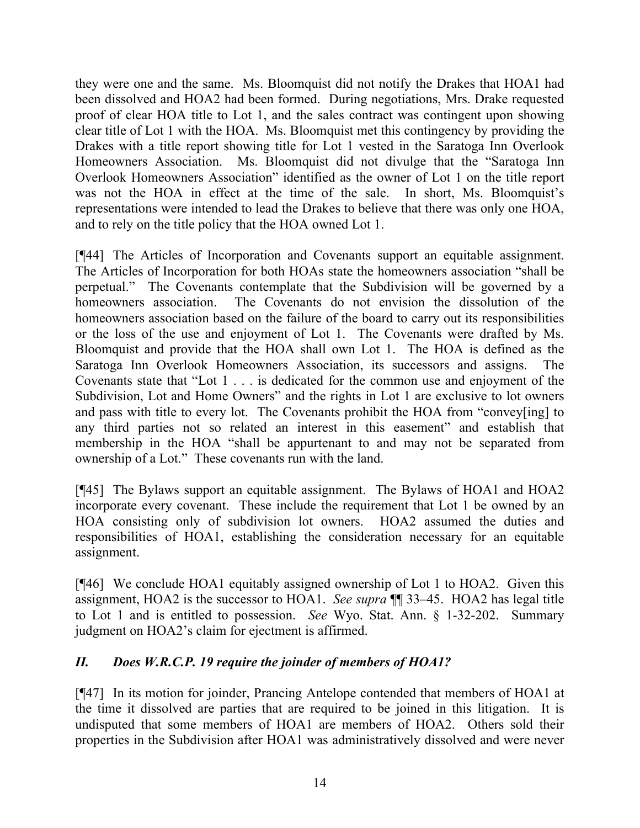they were one and the same. Ms. Bloomquist did not notify the Drakes that HOA1 had been dissolved and HOA2 had been formed. During negotiations, Mrs. Drake requested proof of clear HOA title to Lot 1, and the sales contract was contingent upon showing clear title of Lot 1 with the HOA. Ms. Bloomquist met this contingency by providing the Drakes with a title report showing title for Lot 1 vested in the Saratoga Inn Overlook Homeowners Association. Ms. Bloomquist did not divulge that the "Saratoga Inn Overlook Homeowners Association" identified as the owner of Lot 1 on the title report was not the HOA in effect at the time of the sale. In short, Ms. Bloomquist's representations were intended to lead the Drakes to believe that there was only one HOA, and to rely on the title policy that the HOA owned Lot 1.

[¶44] The Articles of Incorporation and Covenants support an equitable assignment. The Articles of Incorporation for both HOAs state the homeowners association "shall be perpetual." The Covenants contemplate that the Subdivision will be governed by a homeowners association. The Covenants do not envision the dissolution of the homeowners association based on the failure of the board to carry out its responsibilities or the loss of the use and enjoyment of Lot 1. The Covenants were drafted by Ms. Bloomquist and provide that the HOA shall own Lot 1. The HOA is defined as the Saratoga Inn Overlook Homeowners Association, its successors and assigns. The Covenants state that "Lot 1 . . . is dedicated for the common use and enjoyment of the Subdivision, Lot and Home Owners" and the rights in Lot 1 are exclusive to lot owners and pass with title to every lot. The Covenants prohibit the HOA from "convey[ing] to any third parties not so related an interest in this easement" and establish that membership in the HOA "shall be appurtenant to and may not be separated from ownership of a Lot." These covenants run with the land.

[¶45] The Bylaws support an equitable assignment. The Bylaws of HOA1 and HOA2 incorporate every covenant. These include the requirement that Lot 1 be owned by an HOA consisting only of subdivision lot owners. HOA2 assumed the duties and responsibilities of HOA1, establishing the consideration necessary for an equitable assignment.

[¶46] We conclude HOA1 equitably assigned ownership of Lot 1 to HOA2. Given this assignment, HOA2 is the successor to HOA1. *See supra* ¶¶ 33–45. HOA2 has legal title to Lot 1 and is entitled to possession. *See* Wyo. Stat. Ann. § 1-32-202. Summary judgment on HOA2's claim for ejectment is affirmed.

# *II. Does W.R.C.P. 19 require the joinder of members of HOA1?*

[¶47] In its motion for joinder, Prancing Antelope contended that members of HOA1 at the time it dissolved are parties that are required to be joined in this litigation. It is undisputed that some members of HOA1 are members of HOA2. Others sold their properties in the Subdivision after HOA1 was administratively dissolved and were never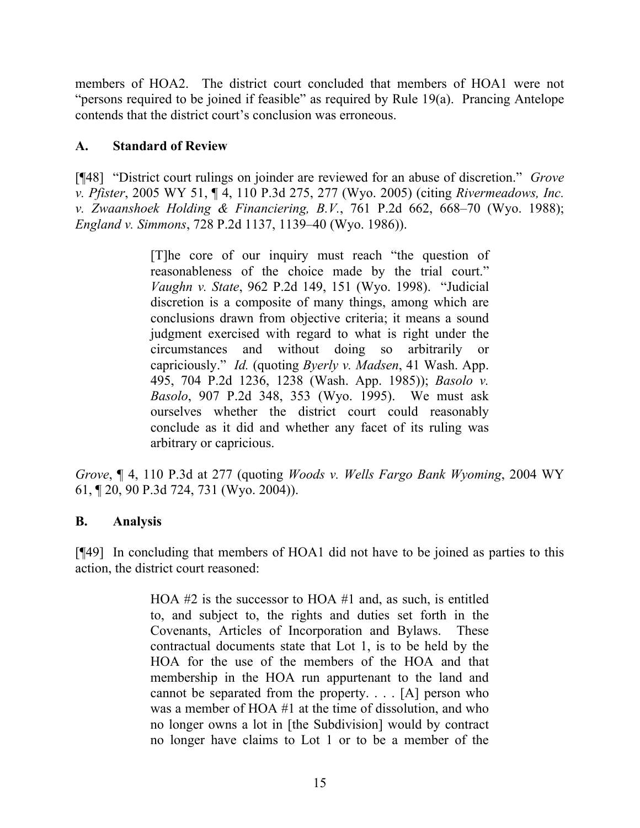members of HOA2. The district court concluded that members of HOA1 were not "persons required to be joined if feasible" as required by Rule 19(a). Prancing Antelope contends that the district court's conclusion was erroneous.

## **A. Standard of Review**

[¶48] "District court rulings on joinder are reviewed for an abuse of discretion." *Grove v. Pfister*, 2005 WY 51, ¶ 4, 110 P.3d 275, 277 (Wyo. 2005) (citing *Rivermeadows, Inc. v. Zwaanshoek Holding & Financiering, B.V.*, 761 P.2d 662, 668–70 (Wyo. 1988); *England v. Simmons*, 728 P.2d 1137, 1139–40 (Wyo. 1986)).

> [T]he core of our inquiry must reach "the question of reasonableness of the choice made by the trial court." *Vaughn v. State*, 962 P.2d 149, 151 (Wyo. 1998). "Judicial discretion is a composite of many things, among which are conclusions drawn from objective criteria; it means a sound judgment exercised with regard to what is right under the circumstances and without doing so arbitrarily or capriciously." *Id.* (quoting *Byerly v. Madsen*, 41 Wash. App. 495, 704 P.2d 1236, 1238 (Wash. App. 1985)); *Basolo v. Basolo*, 907 P.2d 348, 353 (Wyo. 1995). We must ask ourselves whether the district court could reasonably conclude as it did and whether any facet of its ruling was arbitrary or capricious.

*Grove*, ¶ 4, 110 P.3d at 277 (quoting *Woods v. Wells Fargo Bank Wyoming*, 2004 WY 61, ¶ 20, 90 P.3d 724, 731 (Wyo. 2004)).

#### **B. Analysis**

[¶49] In concluding that members of HOA1 did not have to be joined as parties to this action, the district court reasoned:

> HOA #2 is the successor to HOA #1 and, as such, is entitled to, and subject to, the rights and duties set forth in the Covenants, Articles of Incorporation and Bylaws. These contractual documents state that Lot 1, is to be held by the HOA for the use of the members of the HOA and that membership in the HOA run appurtenant to the land and cannot be separated from the property. . . . [A] person who was a member of HOA #1 at the time of dissolution, and who no longer owns a lot in [the Subdivision] would by contract no longer have claims to Lot 1 or to be a member of the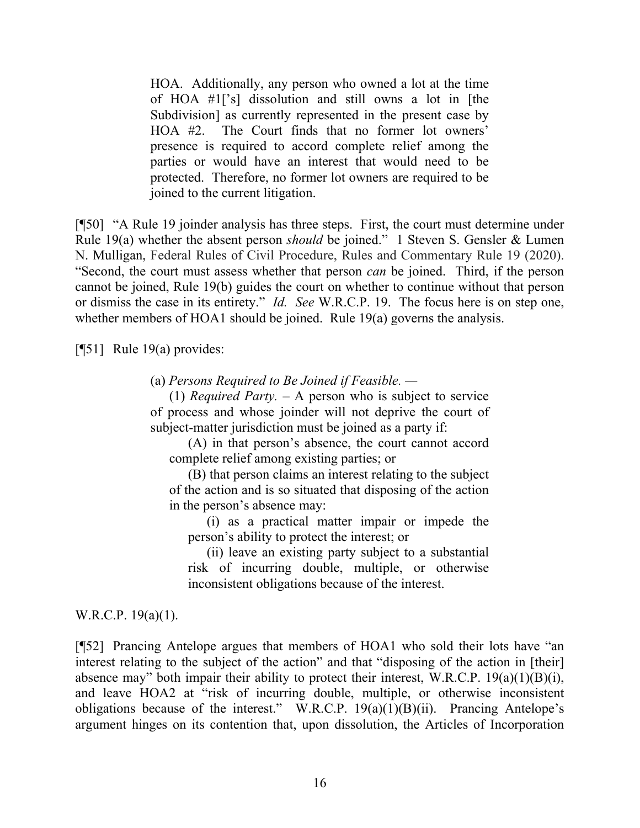HOA. Additionally, any person who owned a lot at the time of HOA #1['s] dissolution and still owns a lot in [the Subdivision] as currently represented in the present case by HOA #2. The Court finds that no former lot owners' presence is required to accord complete relief among the parties or would have an interest that would need to be protected. Therefore, no former lot owners are required to be joined to the current litigation.

[¶50] "A Rule 19 joinder analysis has three steps. First, the court must determine under Rule 19(a) whether the absent person *should* be joined." 1 Steven S. Gensler & Lumen N. Mulligan, Federal Rules of Civil Procedure, Rules and Commentary Rule 19 (2020). "Second, the court must assess whether that person *can* be joined. Third, if the person cannot be joined, Rule 19(b) guides the court on whether to continue without that person or dismiss the case in its entirety." *Id. See* W.R.C.P. 19. The focus here is on step one, whether members of HOA1 should be joined. Rule 19(a) governs the analysis.

[¶51] Rule 19(a) provides:

(a) *Persons Required to Be Joined if Feasible. —*

(1) *Required Party.* – A person who is subject to service of process and whose joinder will not deprive the court of subject-matter jurisdiction must be joined as a party if:

(A) in that person's absence, the court cannot accord complete relief among existing parties; or

(B) that person claims an interest relating to the subject of the action and is so situated that disposing of the action in the person's absence may:

(i) as a practical matter impair or impede the person's ability to protect the interest; or

(ii) leave an existing party subject to a substantial risk of incurring double, multiple, or otherwise inconsistent obligations because of the interest.

W.R.C.P. 19(a)(1).

[¶52] Prancing Antelope argues that members of HOA1 who sold their lots have "an interest relating to the subject of the action" and that "disposing of the action in [their] absence may" both impair their ability to protect their interest, W.R.C.P.  $19(a)(1)(B)(i)$ , and leave HOA2 at "risk of incurring double, multiple, or otherwise inconsistent obligations because of the interest." W.R.C.P.  $19(a)(1)(B)(ii)$ . Prancing Antelope's argument hinges on its contention that, upon dissolution, the Articles of Incorporation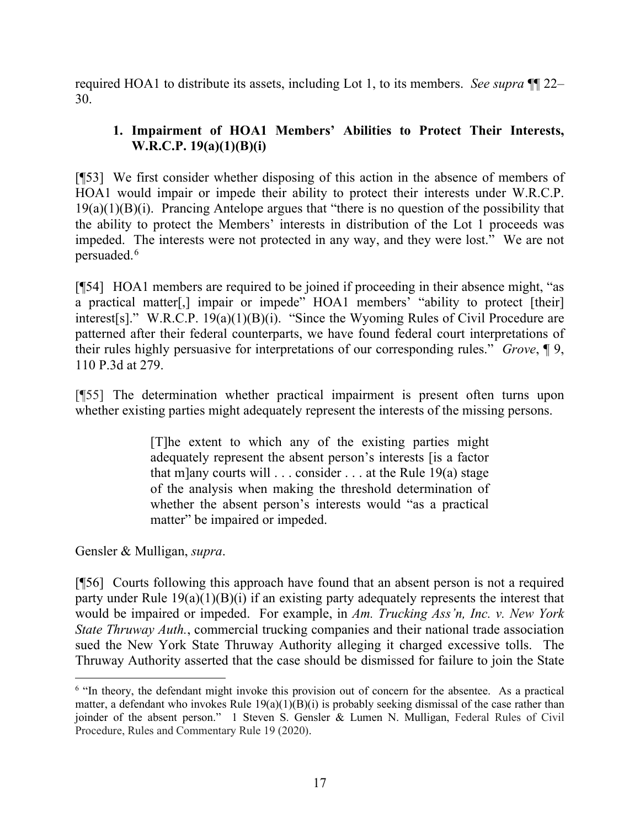required HOA1 to distribute its assets, including Lot 1, to its members. *See supra* ¶¶ 22– 30.

# **1. Impairment of HOA1 Members' Abilities to Protect Their Interests, W.R.C.P. 19(a)(1)(B)(i)**

[¶53] We first consider whether disposing of this action in the absence of members of HOA1 would impair or impede their ability to protect their interests under W.R.C.P.  $19(a)(1)(B)(i)$ . Prancing Antelope argues that "there is no question of the possibility that the ability to protect the Members' interests in distribution of the Lot 1 proceeds was impeded. The interests were not protected in any way, and they were lost." We are not persuaded. [6](#page-17-0)

[¶54] HOA1 members are required to be joined if proceeding in their absence might, "as a practical matter[,] impair or impede" HOA1 members' "ability to protect [their] interest[s]." W.R.C.P.  $19(a)(1)(B)(i)$ . "Since the Wyoming Rules of Civil Procedure are patterned after their federal counterparts, we have found federal court interpretations of their rules highly persuasive for interpretations of our corresponding rules." *Grove*, ¶ 9, 110 P.3d at 279.

[¶55] The determination whether practical impairment is present often turns upon whether existing parties might adequately represent the interests of the missing persons.

> [T]he extent to which any of the existing parties might adequately represent the absent person's interests [is a factor that m]any courts will  $\dots$  consider  $\dots$  at the Rule 19(a) stage of the analysis when making the threshold determination of whether the absent person's interests would "as a practical matter" be impaired or impeded.

Gensler & Mulligan, *supra*.

[¶56] Courts following this approach have found that an absent person is not a required party under Rule 19(a)(1)(B)(i) if an existing party adequately represents the interest that would be impaired or impeded. For example, in *Am. Trucking Ass'n, Inc. v. New York State Thruway Auth.*, commercial trucking companies and their national trade association sued the New York State Thruway Authority alleging it charged excessive tolls. The Thruway Authority asserted that the case should be dismissed for failure to join the State

<span id="page-17-0"></span><sup>&</sup>lt;sup>6</sup> "In theory, the defendant might invoke this provision out of concern for the absentee. As a practical matter, a defendant who invokes Rule  $19(a)(1)(B)(i)$  is probably seeking dismissal of the case rather than joinder of the absent person." 1 Steven S. Gensler & Lumen N. Mulligan, Federal Rules of Civil Procedure, Rules and Commentary Rule 19 (2020).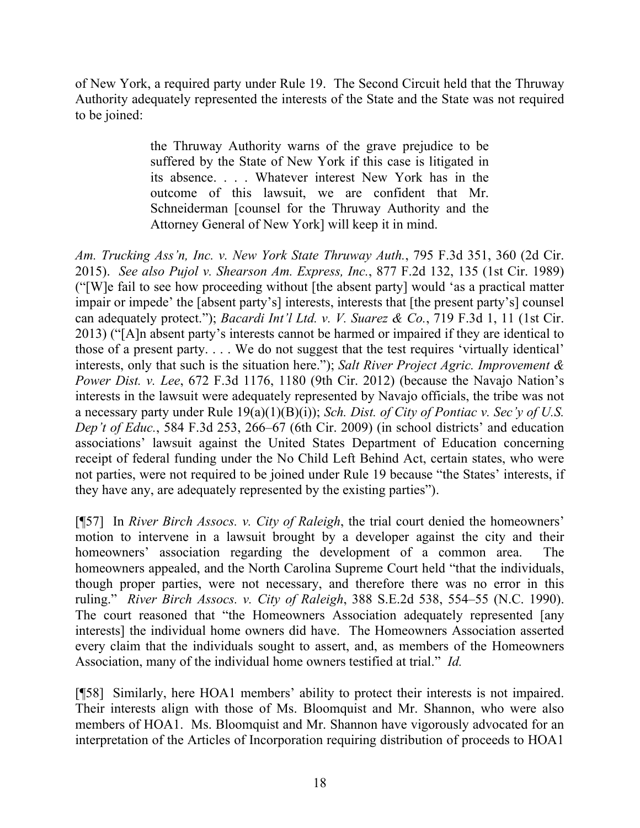of New York, a required party under Rule 19. The Second Circuit held that the Thruway Authority adequately represented the interests of the State and the State was not required to be joined:

> the Thruway Authority warns of the grave prejudice to be suffered by the State of New York if this case is litigated in its absence. . . . Whatever interest New York has in the outcome of this lawsuit, we are confident that Mr. Schneiderman [counsel for the Thruway Authority and the Attorney General of New York] will keep it in mind.

*Am. Trucking Ass'n, Inc. v. New York State Thruway Auth.*, 795 F.3d 351, 360 (2d Cir. 2015). *See also Pujol v. Shearson Am. Express, Inc.*, 877 F.2d 132, 135 (1st Cir. 1989) ("[W]e fail to see how proceeding without [the absent party] would 'as a practical matter impair or impede' the [absent party's] interests, interests that [the present party's] counsel can adequately protect."); *Bacardi Int'l Ltd. v. V. Suarez & Co.*, 719 F.3d 1, 11 (1st Cir. 2013) ("[A]n absent party's interests cannot be harmed or impaired if they are identical to those of a present party. . . . We do not suggest that the test requires 'virtually identical' interests, only that such is the situation here."); *Salt River Project Agric. Improvement & Power Dist. v. Lee*, 672 F.3d 1176, 1180 (9th Cir. 2012) (because the Navajo Nation's interests in the lawsuit were adequately represented by Navajo officials, the tribe was not a necessary party under Rule 19(a)(1)(B)(i)); *Sch. Dist. of City of Pontiac v. Sec'y of U.S. Dep't of Educ.*, 584 F.3d 253, 266–67 (6th Cir. 2009) (in school districts' and education associations' lawsuit against the United States Department of Education concerning receipt of federal funding under the No Child Left Behind Act, certain states, who were not parties, were not required to be joined under Rule 19 because "the States' interests, if they have any, are adequately represented by the existing parties").

[¶57] In *River Birch Assocs. v. City of Raleigh*, the trial court denied the homeowners' motion to intervene in a lawsuit brought by a developer against the city and their homeowners' association regarding the development of a common area. The homeowners appealed, and the North Carolina Supreme Court held "that the individuals, though proper parties, were not necessary, and therefore there was no error in this ruling." *River Birch Assocs. v. City of Raleigh*, 388 S.E.2d 538, 554–55 (N.C. 1990). The court reasoned that "the Homeowners Association adequately represented [any interests] the individual home owners did have. The Homeowners Association asserted every claim that the individuals sought to assert, and, as members of the Homeowners Association, many of the individual home owners testified at trial." *Id.*

[¶58] Similarly, here HOA1 members' ability to protect their interests is not impaired. Their interests align with those of Ms. Bloomquist and Mr. Shannon, who were also members of HOA1. Ms. Bloomquist and Mr. Shannon have vigorously advocated for an interpretation of the Articles of Incorporation requiring distribution of proceeds to HOA1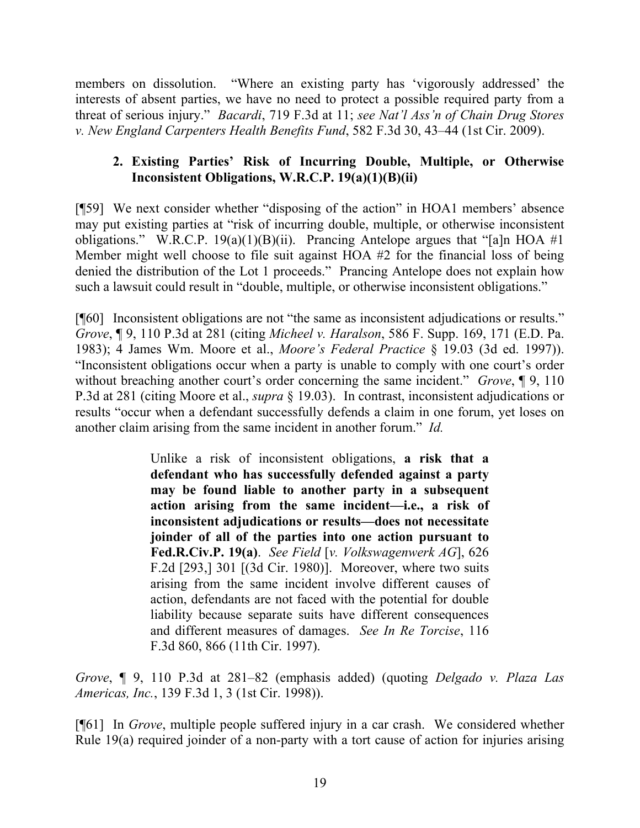members on dissolution. "Where an existing party has 'vigorously addressed' the interests of absent parties, we have no need to protect a possible required party from a threat of serious injury." *Bacardi*, 719 F.3d at 11; *see Nat'l Ass'n of Chain Drug Stores v. New England Carpenters Health Benefits Fund*, 582 F.3d 30, 43–44 (1st Cir. 2009).

# **2. Existing Parties' Risk of Incurring Double, Multiple, or Otherwise Inconsistent Obligations, W.R.C.P. 19(a)(1)(B)(ii)**

[¶59] We next consider whether "disposing of the action" in HOA1 members' absence may put existing parties at "risk of incurring double, multiple, or otherwise inconsistent obligations." W.R.C.P. 19(a)(1)(B)(ii). Prancing Antelope argues that "[a]n HOA #1 Member might well choose to file suit against HOA #2 for the financial loss of being denied the distribution of the Lot 1 proceeds." Prancing Antelope does not explain how such a lawsuit could result in "double, multiple, or otherwise inconsistent obligations."

[¶60] Inconsistent obligations are not "the same as inconsistent adjudications or results." *Grove*, ¶ 9, 110 P.3d at 281 (citing *Micheel v. Haralson*, 586 F. Supp. 169, 171 (E.D. Pa. 1983); 4 James Wm. Moore et al., *Moore's Federal Practice* § 19.03 (3d ed. 1997)). "Inconsistent obligations occur when a party is unable to comply with one court's order without breaching another court's order concerning the same incident." *Grove*, ¶ 9, 110 P.3d at 281 (citing Moore et al., *supra* § 19.03). In contrast, inconsistent adjudications or results "occur when a defendant successfully defends a claim in one forum, yet loses on another claim arising from the same incident in another forum." *Id.*

> Unlike a risk of inconsistent obligations, **a risk that a defendant who has successfully defended against a party may be found liable to another party in a subsequent action arising from the same incident—i.e., a risk of inconsistent adjudications or results—does not necessitate joinder of all of the parties into one action pursuant to Fed.R.Civ.P. 19(a)**. *See Field* [*v. Volkswagenwerk AG*], 626 F.2d [293,] 301 [(3d Cir. 1980)]. Moreover, where two suits arising from the same incident involve different causes of action, defendants are not faced with the potential for double liability because separate suits have different consequences and different measures of damages. *See In Re Torcise*, 116 F.3d 860, 866 (11th Cir. 1997).

*Grove*, ¶ 9, 110 P.3d at 281–82 (emphasis added) (quoting *Delgado v. Plaza Las Americas, Inc.*, 139 F.3d 1, 3 (1st Cir. 1998)).

[¶61] In *Grove*, multiple people suffered injury in a car crash. We considered whether Rule 19(a) required joinder of a non-party with a tort cause of action for injuries arising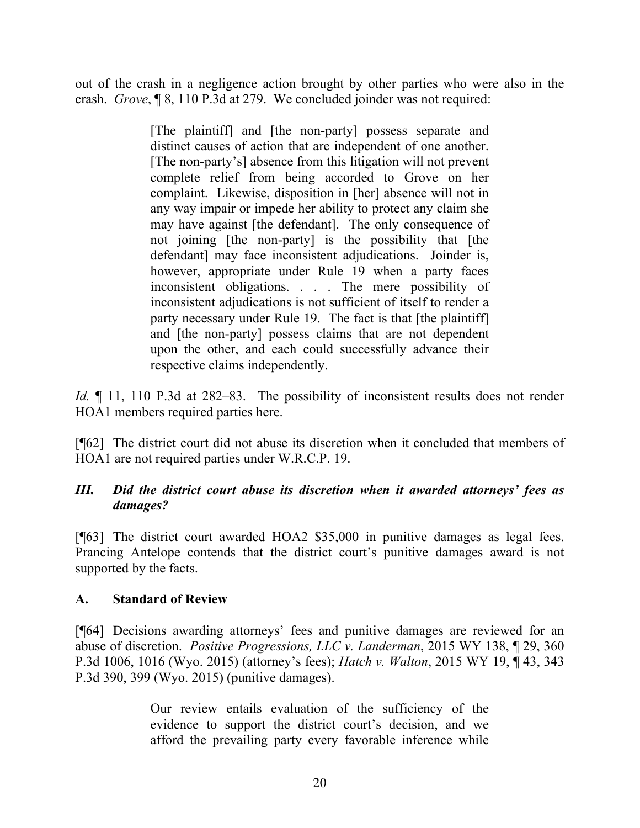out of the crash in a negligence action brought by other parties who were also in the crash. *Grove*, ¶ 8, 110 P.3d at 279. We concluded joinder was not required:

> [The plaintiff] and [the non-party] possess separate and distinct causes of action that are independent of one another. [The non-party's] absence from this litigation will not prevent complete relief from being accorded to Grove on her complaint. Likewise, disposition in [her] absence will not in any way impair or impede her ability to protect any claim she may have against [the defendant]. The only consequence of not joining [the non-party] is the possibility that [the defendant] may face inconsistent adjudications. Joinder is, however, appropriate under Rule 19 when a party faces inconsistent obligations. . . . The mere possibility of inconsistent adjudications is not sufficient of itself to render a party necessary under Rule 19. The fact is that [the plaintiff] and [the non-party] possess claims that are not dependent upon the other, and each could successfully advance their respective claims independently.

*Id.*  $\llbracket$  11, 110 P.3d at 282–83. The possibility of inconsistent results does not render HOA1 members required parties here.

[¶62] The district court did not abuse its discretion when it concluded that members of HOA1 are not required parties under W.R.C.P. 19.

## *III. Did the district court abuse its discretion when it awarded attorneys' fees as damages?*

[¶63] The district court awarded HOA2 \$35,000 in punitive damages as legal fees. Prancing Antelope contends that the district court's punitive damages award is not supported by the facts.

## **A. Standard of Review**

[¶64] Decisions awarding attorneys' fees and punitive damages are reviewed for an abuse of discretion. *Positive Progressions, LLC v. Landerman*, 2015 WY 138, ¶ 29, 360 P.3d 1006, 1016 (Wyo. 2015) (attorney's fees); *Hatch v. Walton*, 2015 WY 19, ¶ 43, 343 P.3d 390, 399 (Wyo. 2015) (punitive damages).

> Our review entails evaluation of the sufficiency of the evidence to support the district court's decision, and we afford the prevailing party every favorable inference while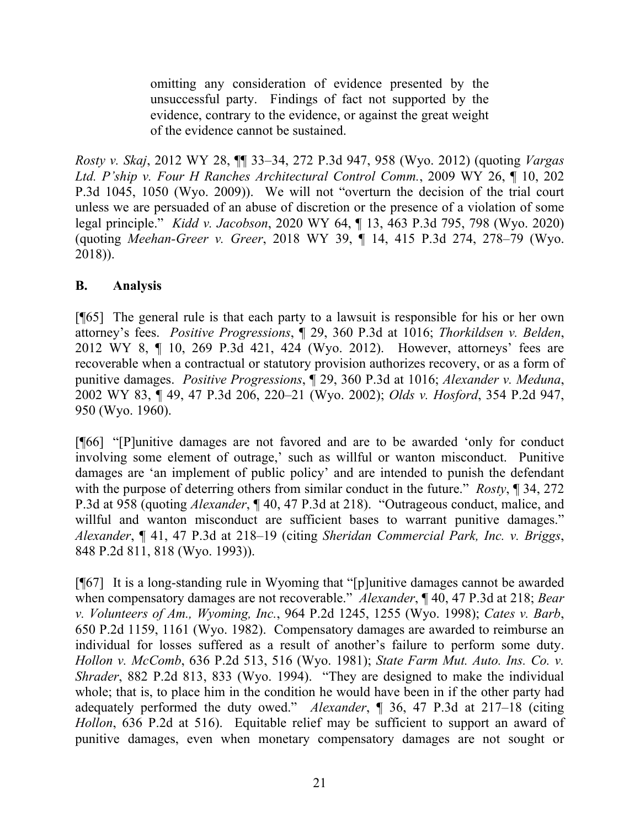omitting any consideration of evidence presented by the unsuccessful party. Findings of fact not supported by the evidence, contrary to the evidence, or against the great weight of the evidence cannot be sustained.

*Rosty v. Skaj*, 2012 WY 28, ¶¶ 33–34, 272 P.3d 947, 958 (Wyo. 2012) (quoting *Vargas Ltd. P'ship v. Four H Ranches Architectural Control Comm.*, 2009 WY 26, ¶ 10, 202 P.3d 1045, 1050 (Wyo. 2009)). We will not "overturn the decision of the trial court unless we are persuaded of an abuse of discretion or the presence of a violation of some legal principle." *Kidd v. Jacobson*, 2020 WY 64, ¶ 13, 463 P.3d 795, 798 (Wyo. 2020) (quoting *Meehan-Greer v. Greer*, 2018 WY 39, ¶ 14, 415 P.3d 274, 278–79 (Wyo. 2018)).

## **B. Analysis**

[¶65] The general rule is that each party to a lawsuit is responsible for his or her own attorney's fees. *Positive Progressions*, ¶ 29, 360 P.3d at 1016; *Thorkildsen v. Belden*, 2012 WY 8, ¶ 10, 269 P.3d 421, 424 (Wyo. 2012). However, attorneys' fees are recoverable when a contractual or statutory provision authorizes recovery, or as a form of punitive damages. *Positive Progressions*, ¶ 29, 360 P.3d at 1016; *Alexander v. Meduna*, 2002 WY 83, ¶ 49, 47 P.3d 206, 220–21 (Wyo. 2002); *Olds v. Hosford*, 354 P.2d 947, 950 (Wyo. 1960).

[¶66] "[P]unitive damages are not favored and are to be awarded 'only for conduct involving some element of outrage,' such as willful or wanton misconduct. Punitive damages are 'an implement of public policy' and are intended to punish the defendant with the purpose of deterring others from similar conduct in the future." *Rosty*, ¶ 34, 272 P.3d at 958 (quoting *Alexander*, ¶ 40, 47 P.3d at 218). "Outrageous conduct, malice, and willful and wanton misconduct are sufficient bases to warrant punitive damages." *Alexander*, ¶ 41, 47 P.3d at 218–19 (citing *Sheridan Commercial Park, Inc. v. Briggs*, 848 P.2d 811, 818 (Wyo. 1993)).

[¶67] It is a long-standing rule in Wyoming that "[p]unitive damages cannot be awarded when compensatory damages are not recoverable." *Alexander*, ¶ 40, 47 P.3d at 218; *Bear v. Volunteers of Am., Wyoming, Inc.*, 964 P.2d 1245, 1255 (Wyo. 1998); *Cates v. Barb*, 650 P.2d 1159, 1161 (Wyo. 1982). Compensatory damages are awarded to reimburse an individual for losses suffered as a result of another's failure to perform some duty. *Hollon v. McComb*, 636 P.2d 513, 516 (Wyo. 1981); *State Farm Mut. Auto. Ins. Co. v. Shrader*, 882 P.2d 813, 833 (Wyo. 1994). "They are designed to make the individual whole; that is, to place him in the condition he would have been in if the other party had adequately performed the duty owed." *Alexander*, ¶ 36, 47 P.3d at 217–18 (citing *Hollon*, 636 P.2d at 516). Equitable relief may be sufficient to support an award of punitive damages, even when monetary compensatory damages are not sought or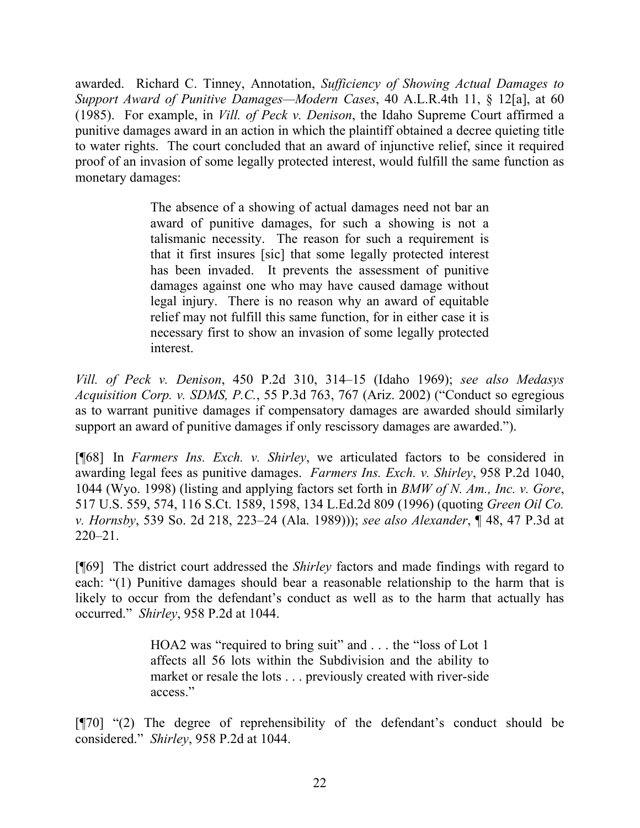awarded. Richard C. Tinney, Annotation, *Sufficiency of Showing Actual Damages to Support Award of Punitive Damages—Modern Cases*, 40 A.L.R.4th 11, § 12[a], at 60 (1985). For example, in *Vill. of Peck v. Denison*, the Idaho Supreme Court affirmed a punitive damages award in an action in which the plaintiff obtained a decree quieting title to water rights. The court concluded that an award of injunctive relief, since it required proof of an invasion of some legally protected interest, would fulfill the same function as monetary damages:

> The absence of a showing of actual damages need not bar an award of punitive damages, for such a showing is not a talismanic necessity. The reason for such a requirement is that it first insures [sic] that some legally protected interest has been invaded. It prevents the assessment of punitive damages against one who may have caused damage without legal injury. There is no reason why an award of equitable relief may not fulfill this same function, for in either case it is necessary first to show an invasion of some legally protected interest.

*Vill. of Peck v. Denison*, 450 P.2d 310, 314–15 (Idaho 1969); *see also Medasys Acquisition Corp. v. SDMS, P.C.*, 55 P.3d 763, 767 (Ariz. 2002) ("Conduct so egregious as to warrant punitive damages if compensatory damages are awarded should similarly support an award of punitive damages if only rescissory damages are awarded.").

[¶68] In *Farmers Ins. Exch. v. Shirley*, we articulated factors to be considered in awarding legal fees as punitive damages. *Farmers Ins. Exch. v. Shirley*, 958 P.2d 1040, 1044 (Wyo. 1998) (listing and applying factors set forth in *BMW of N. Am., Inc. v. Gore*, 517 U.S. 559, 574, 116 S.Ct. 1589, 1598, 134 L.Ed.2d 809 (1996) (quoting *Green Oil Co. v. Hornsby*, 539 So. 2d 218, 223–24 (Ala. 1989))); *see also Alexander*, ¶ 48, 47 P.3d at 220–21.

[¶69] The district court addressed the *Shirley* factors and made findings with regard to each: "(1) Punitive damages should bear a reasonable relationship to the harm that is likely to occur from the defendant's conduct as well as to the harm that actually has occurred." *Shirley*, 958 P.2d at 1044.

> HOA2 was "required to bring suit" and . . . the "loss of Lot 1 affects all 56 lots within the Subdivision and the ability to market or resale the lots . . . previously created with river-side access."

[¶70] "(2) The degree of reprehensibility of the defendant's conduct should be considered." *Shirley*, 958 P.2d at 1044.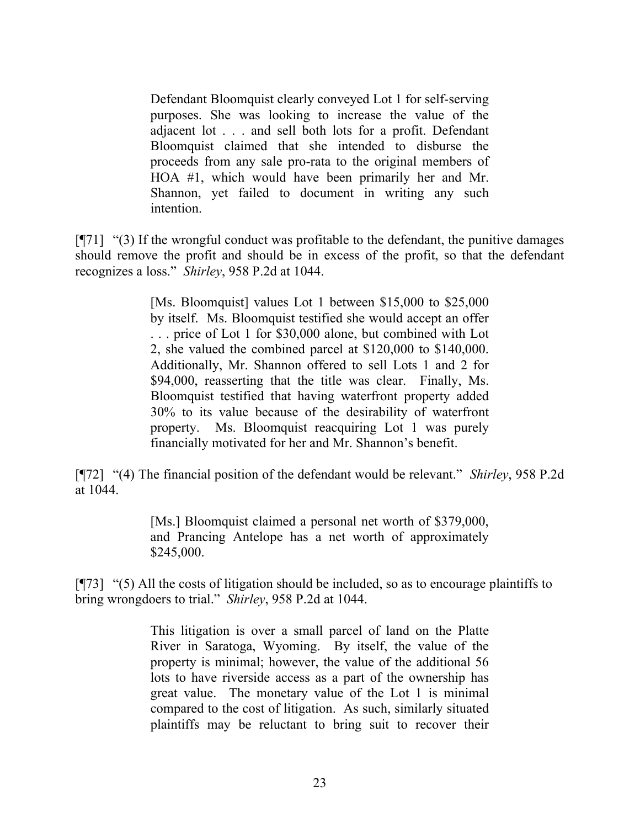Defendant Bloomquist clearly conveyed Lot 1 for self-serving purposes. She was looking to increase the value of the adjacent lot . . . and sell both lots for a profit. Defendant Bloomquist claimed that she intended to disburse the proceeds from any sale pro-rata to the original members of HOA #1, which would have been primarily her and Mr. Shannon, yet failed to document in writing any such intention.

 $\lceil \P{7}1 \rceil$  "(3) If the wrongful conduct was profitable to the defendant, the punitive damages should remove the profit and should be in excess of the profit, so that the defendant recognizes a loss." *Shirley*, 958 P.2d at 1044.

> [Ms. Bloomquist] values Lot 1 between \$15,000 to \$25,000 by itself. Ms. Bloomquist testified she would accept an offer . . . price of Lot 1 for \$30,000 alone, but combined with Lot 2, she valued the combined parcel at \$120,000 to \$140,000. Additionally, Mr. Shannon offered to sell Lots 1 and 2 for \$94,000, reasserting that the title was clear. Finally, Ms. Bloomquist testified that having waterfront property added 30% to its value because of the desirability of waterfront property. Ms. Bloomquist reacquiring Lot 1 was purely financially motivated for her and Mr. Shannon's benefit.

[¶72] "(4) The financial position of the defendant would be relevant." *Shirley*, 958 P.2d at 1044.

> [Ms.] Bloomquist claimed a personal net worth of \$379,000, and Prancing Antelope has a net worth of approximately \$245,000.

[¶73] "(5) All the costs of litigation should be included, so as to encourage plaintiffs to bring wrongdoers to trial." *Shirley*, 958 P.2d at 1044.

> This litigation is over a small parcel of land on the Platte River in Saratoga, Wyoming. By itself, the value of the property is minimal; however, the value of the additional 56 lots to have riverside access as a part of the ownership has great value. The monetary value of the Lot 1 is minimal compared to the cost of litigation. As such, similarly situated plaintiffs may be reluctant to bring suit to recover their